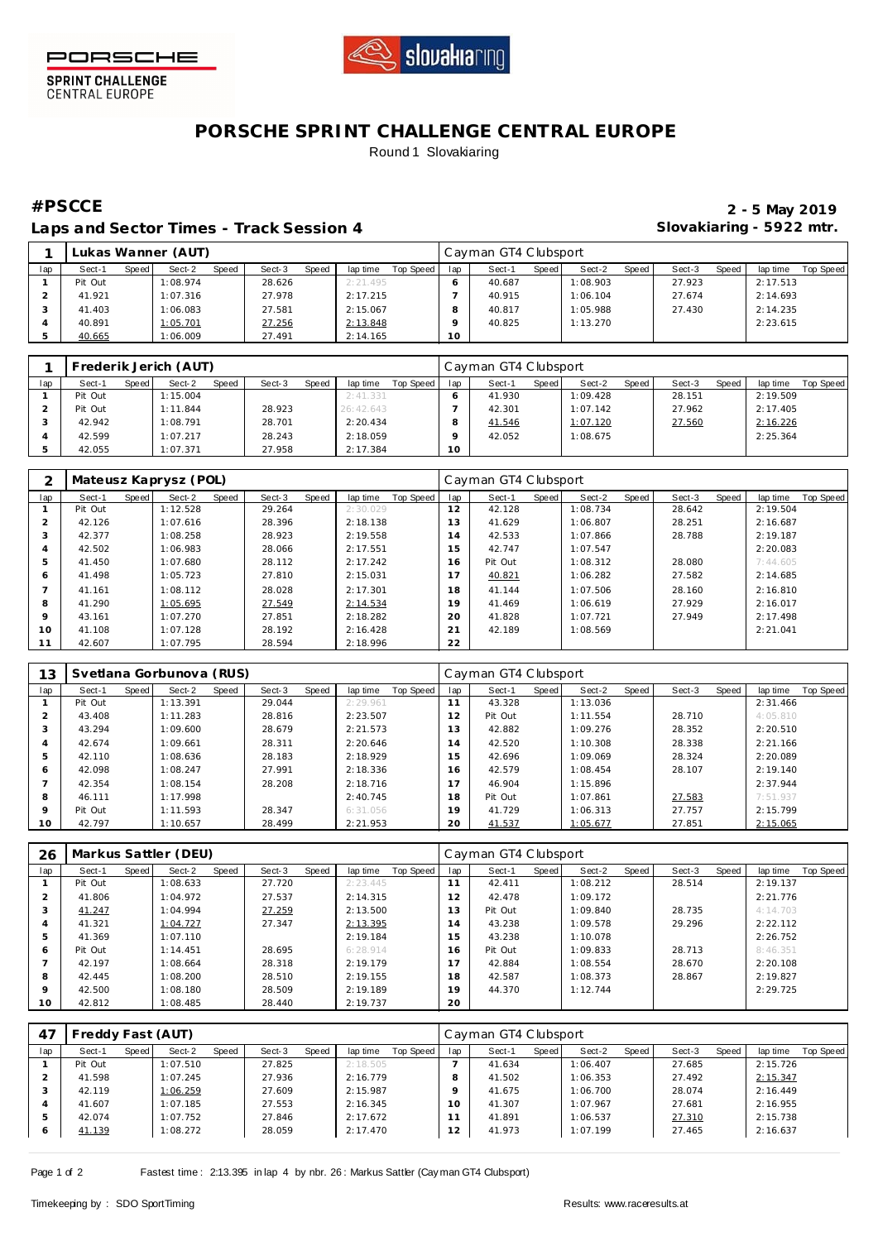



**SPRINT CHALLENGE**<br>CENTRAL EUROPE

## **PORSCHE SPRINT CHALLENGE CENTRAL EUROPE** Round 1 Slovakiaring

Laps and Sector Times - Track Session 4 **Slovakiaring - 5922 mtr.** 

**#PSCCE 2 - 5 May 2019**

|     | Lukas Wanner (AUT) |         |          |       |        |       |          |           |     | Cayman GT4 Clubsport |       |          |       |        |       |          |           |  |  |
|-----|--------------------|---------|----------|-------|--------|-------|----------|-----------|-----|----------------------|-------|----------|-------|--------|-------|----------|-----------|--|--|
| lap | Sect-1             | Speed I | Sect-2   | Speed | Sect-3 | Speed | lap time | Top Speed | lap | Sect-1               | Speed | Sect-2   | Speed | Sect-3 | Speed | lap time | Top Speed |  |  |
|     | Pit Out            |         | 1:08.974 |       | 28.626 |       | 2:21.495 |           |     | 40.687               |       | 1:08.903 |       | 27.923 |       | 2:17.513 |           |  |  |
|     | 41.921             |         | 1:07.316 |       | 27.978 |       | 2:17.215 |           |     | 40.915               |       | 1:06.104 |       | 27.674 |       | 2:14.693 |           |  |  |
|     | 41.403             |         | 1:06.083 |       | 27.581 |       | 2:15.067 |           |     | 40.817               |       | 1:05.988 |       | 27.430 |       | 2:14.235 |           |  |  |
|     | 40.891             |         | 1:05.701 |       | 27.256 |       | 2:13.848 |           |     | 40.825               |       | 1:13.270 |       |        |       | 2:23.615 |           |  |  |
|     | 40.665             |         | 1:06.009 |       | 27.491 |       | 2:14.165 |           | 10  |                      |       |          |       |        |       |          |           |  |  |

|     | Frederik Jerich (AUT) |         |          |       |        |       |           |                 |    | Cayman GT4 Clubsport |       |          |         |        |       |          |           |  |  |
|-----|-----------------------|---------|----------|-------|--------|-------|-----------|-----------------|----|----------------------|-------|----------|---------|--------|-------|----------|-----------|--|--|
| lap | Sect-1                | Speed I | Sect-2   | Speed | Sect-3 | Speed | lap time  | Top Speed   lap |    | Sect-1               | Speed | Sect-2   | Speed I | Sect-3 | Speed | lap time | Top Speed |  |  |
|     | Pit Out               |         | 1:15.004 |       |        |       | 2:41.331  |                 |    | 41.930               |       | 1:09.428 |         | 28.151 |       | 2:19.509 |           |  |  |
|     | Pit Out               |         | 1:11.844 |       | 28.923 |       | 26:42.643 |                 |    | 42.301               |       | 1:07.142 |         | 27.962 |       | 2:17.405 |           |  |  |
|     | 42.942                |         | 1:08.791 |       | 28.701 |       | 2:20.434  |                 |    | 41.546               |       | 1:07.120 |         | 27.560 |       | 2:16.226 |           |  |  |
|     | 42.599                |         | 1:07.217 |       | 28.243 |       | 2:18.059  |                 |    | 42.052               |       | 1:08.675 |         |        |       | 2:25.364 |           |  |  |
|     | 42.055                |         | 1:07.371 |       | 27.958 |       | 2:17.384  |                 | 10 |                      |       |          |         |        |       |          |           |  |  |

|         | Mateusz Kaprysz (POL) |       |          |       |        |       |          |           | Cayman GT4 Clubsport |         |       |          |       |        |       |          |           |  |
|---------|-----------------------|-------|----------|-------|--------|-------|----------|-----------|----------------------|---------|-------|----------|-------|--------|-------|----------|-----------|--|
| lap     | Sect-1                | Speed | Sect-2   | Speed | Sect-3 | Speed | lap time | Top Speed | lap                  | Sect-1  | Speed | Sect-2   | Speed | Sect-3 | Speed | lap time | Top Speed |  |
|         | Pit Out               |       | 1:12.528 |       | 29.264 |       | 2:30.029 |           | 12                   | 42.128  |       | 1:08.734 |       | 28.642 |       | 2:19.504 |           |  |
|         | 42.126                |       | 1:07.616 |       | 28.396 |       | 2:18.138 |           | 13                   | 41.629  |       | 1:06.807 |       | 28.251 |       | 2:16.687 |           |  |
|         | 42.377                |       | 1:08.258 |       | 28.923 |       | 2:19.558 |           | 14                   | 42.533  |       | 1:07.866 |       | 28.788 |       | 2:19.187 |           |  |
| 4       | 42.502                |       | 1:06.983 |       | 28.066 |       | 2:17.551 |           | 15                   | 42.747  |       | 1:07.547 |       |        |       | 2:20.083 |           |  |
|         | 41.450                |       | 1:07.680 |       | 28.112 |       | 2:17.242 |           | 16                   | Pit Out |       | 1:08.312 |       | 28,080 |       | 7:44.605 |           |  |
| 6       | 41.498                |       | 1:05.723 |       | 27.810 |       | 2:15.031 |           | $\overline{7}$       | 40.821  |       | 1:06.282 |       | 27.582 |       | 2:14.685 |           |  |
|         | 41.161                |       | 1:08.112 |       | 28.028 |       | 2:17.301 |           | 18                   | 41.144  |       | 1:07.506 |       | 28.160 |       | 2:16.810 |           |  |
| 8       | 41.290                |       | 1:05.695 |       | 27.549 |       | 2:14.534 |           | 19                   | 41.469  |       | 1:06.619 |       | 27.929 |       | 2:16.017 |           |  |
| $\circ$ | 43.161                |       | 1:07.270 |       | 27.851 |       | 2:18.282 |           | 20                   | 41.828  |       | 1:07.721 |       | 27.949 |       | 2:17.498 |           |  |
| 10      | 41.108                |       | 1:07.128 |       | 28.192 |       | 2:16.428 |           | 21                   | 42.189  |       | 1:08.569 |       |        |       | 2:21.041 |           |  |
|         | 42.607                |       | 1:07.795 |       | 28.594 |       | 2:18.996 |           | 22                   |         |       |          |       |        |       |          |           |  |

| 13      |         | Svetlana Gorbunova (RUS) |          |       |        | Cayman GT4 Clubsport |          |           |     |         |       |          |       |        |       |          |           |
|---------|---------|--------------------------|----------|-------|--------|----------------------|----------|-----------|-----|---------|-------|----------|-------|--------|-------|----------|-----------|
| lap     | Sect-1  | Speed                    | Sect-2   | Speed | Sect-3 | Speed                | lap time | Top Speed | lap | Sect-1  | Speed | Sect-2   | Speed | Sect-3 | Speed | lap time | Top Speed |
|         | Pit Out |                          | 1:13.391 |       | 29.044 |                      | 2:29.961 |           | 11  | 43.328  |       | 1:13.036 |       |        |       | 2:31.466 |           |
|         | 43.408  |                          | 1:11.283 |       | 28.816 |                      | 2:23.507 |           | 12  | Pit Out |       | 1:11.554 |       | 28.710 |       | 4:05.810 |           |
| 3       | 43.294  |                          | 1:09.600 |       | 28.679 |                      | 2:21.573 |           | 13  | 42.882  |       | 1:09.276 |       | 28.352 |       | 2:20.510 |           |
|         | 42.674  |                          | 1:09.661 |       | 28.311 |                      | 2:20.646 |           | 14  | 42.520  |       | 1:10.308 |       | 28.338 |       | 2:21.166 |           |
| 5       | 42.110  |                          | 1:08.636 |       | 28.183 |                      | 2:18.929 |           | 15  | 42.696  |       | 1:09.069 |       | 28.324 |       | 2:20.089 |           |
| 6       | 42.098  |                          | 1:08.247 |       | 27.991 |                      | 2:18.336 |           | 16  | 42.579  |       | 1:08.454 |       | 28.107 |       | 2:19.140 |           |
|         | 42.354  |                          | 1:08.154 |       | 28.208 |                      | 2:18.716 |           | 17  | 46.904  |       | 1:15.896 |       |        |       | 2:37.944 |           |
| 8       | 46.111  |                          | 1:17.998 |       |        |                      | 2:40.745 |           | 18  | Pit Out |       | 1:07.861 |       | 27.583 |       | 7:51.937 |           |
| $\circ$ | Pit Out |                          | 1:11.593 |       | 28.347 |                      | 6:31.056 |           | 19  | 41.729  |       | 1:06.313 |       | 27.757 |       | 2:15.799 |           |
| 10      | 42.797  |                          | 1:10.657 |       | 28.499 |                      | 2:21.953 |           | 20  | 41.537  |       | 1:05.677 |       | 27.851 |       | 2:15.065 |           |

| 26      |         |       | Markus Sattler (DEU) |       |        |       |          |           | Cayman GT4 Clubsport |         |       |          |       |        |       |          |                  |  |
|---------|---------|-------|----------------------|-------|--------|-------|----------|-----------|----------------------|---------|-------|----------|-------|--------|-------|----------|------------------|--|
| lap     | Sect-1  | Speed | Sect-2               | Speed | Sect-3 | Speed | lap time | Top Speed | lap                  | Sect-1  | Speed | Sect-2   | Speed | Sect-3 | Speed | lap time | <b>Top Speed</b> |  |
|         | Pit Out |       | 1:08.633             |       | 27.720 |       | 2:23.445 |           | 11                   | 42.411  |       | 1:08.212 |       | 28.514 |       | 2:19.137 |                  |  |
|         | 41.806  |       | 1:04.972             |       | 27.537 |       | 2:14.315 |           | 12                   | 42.478  |       | 1:09.172 |       |        |       | 2:21.776 |                  |  |
| 3       | 41.247  |       | 1:04.994             |       | 27.259 |       | 2:13.500 |           | 13                   | Pit Out |       | 1:09.840 |       | 28.735 |       | 4:14.703 |                  |  |
| 4       | 41.321  |       | 1:04.727             |       | 27.347 |       | 2:13.395 |           | 14                   | 43.238  |       | 1:09.578 |       | 29.296 |       | 2:22.112 |                  |  |
| 5       | 41.369  |       | 1:07.110             |       |        |       | 2:19.184 |           | 15                   | 43.238  |       | 1:10.078 |       |        |       | 2:26.752 |                  |  |
| 6       | Pit Out |       | 1:14.451             |       | 28.695 |       | 6:28.914 |           | 16                   | Pit Out |       | 1:09.833 |       | 28.713 |       | 8:46.351 |                  |  |
|         | 42.197  |       | 1:08.664             |       | 28.318 |       | 2:19.179 |           | 17                   | 42.884  |       | 1:08.554 |       | 28.670 |       | 2:20.108 |                  |  |
| 8       | 42.445  |       | 1:08.200             |       | 28.510 |       | 2:19.155 |           | 18                   | 42.587  |       | 1:08.373 |       | 28.867 |       | 2:19.827 |                  |  |
| $\circ$ | 42.500  |       | 1:08.180             |       | 28.509 |       | 2:19.189 |           | 19                   | 44.370  |       | 1:12.744 |       |        |       | 2:29.725 |                  |  |
| 10      | 42.812  |       | 1:08.485             |       | 28.440 |       | 2:19.737 |           | 20                   |         |       |          |       |        |       |          |                  |  |

| 47      | Freddy Fast (AUT) |         |          |       |        |       |          |           |     | Cayman GT4 Clubsport |         |          |       |        |       |          |           |  |  |
|---------|-------------------|---------|----------|-------|--------|-------|----------|-----------|-----|----------------------|---------|----------|-------|--------|-------|----------|-----------|--|--|
| lap     | Sect-1            | Speed I | Sect-2   | Speed | Sect-3 | Speed | lap time | Top Speed | lap | Sect-1               | Speed I | Sect-2   | Speed | Sect-3 | Speed | lap time | Top Speed |  |  |
|         | Pit Out           |         | 1:07.510 |       | 27.825 |       | 2:18.505 |           |     | 41.634               |         | 1:06.407 |       | 27.685 |       | 2:15.726 |           |  |  |
|         | 41.598            |         | 1:07.245 |       | 27.936 |       | 2:16.779 |           |     | 41.502               |         | 1:06.353 |       | 27.492 |       | 2:15.347 |           |  |  |
|         | 42.119            |         | 1:06.259 |       | 27.609 |       | 2:15.987 |           |     | 41.675               |         | 1:06.700 |       | 28.074 |       | 2:16.449 |           |  |  |
|         | 41.607            |         | 1:07.185 |       | 27.553 |       | 2:16.345 |           | 10  | 41.307               |         | 1:07.967 |       | 27.681 |       | 2:16.955 |           |  |  |
|         | 42.074            |         | 1:07.752 |       | 27.846 |       | 2:17.672 |           |     | 41.891               |         | 1:06.537 |       | 27.310 |       | 2:15.738 |           |  |  |
| $\circ$ | 41.139            |         | 1:08.272 |       | 28.059 |       | 2:17.470 |           |     | 41.973               |         | 1:07.199 |       | 27.465 |       | 2:16.637 |           |  |  |